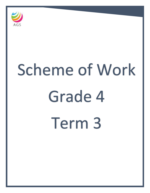

# Scheme of Work Grade 4 Term 3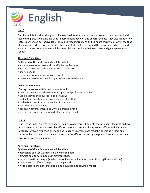

# **Unit 1**

Our first unit is 'Food for thought'. It focuses on different types of persuasive texts. Learners read and respond to persuasive language used in descriptions, reviews and advertisements. They also identify key features of various persuasive texts. They also read instructions and compare this style of writing to that of persuasive texts. Learners consider the use of facts and opinions and the purpose of adjectives and adverbs in a text. With this in mind, learners plan and produce their own texts and give a persuasive speech.

# **Aims and Objectives:**

# **By the end of the unit, students will be able to:**

- analyse persuasive texts and identify the key features
- identify persuasive techniques used in various texts
- analyse a text
- be persuasive orally and in written work
- present a persuasive speech as part of an informal debate.

#### **Skills Development**

#### **During the course of this unit, students will:**

- read and analyse an advertisement, a personal profile and a review
- use adjectives and adverbs to be persuasive
- understand how to use facts and opinions for effect
- understand how to use connectives to make a point
- use adjectives effectively
- design an advertisement and write a personal profile
- give an oral presentation as part of an informal debate.

# **Unit 2**

Our second unit is 'Poems to Ponder'. The unit covers three different types of poems focusing on how words are used to create particular effects. Learners cover word play, sound effects and figurative language, with an emphasis on mood and imagery. Learners both read the poems as writers and perform them to demonstrate and appreciate the effects created by the poets. They also write their own verse following a model.

#### **Aims and Objectives:**

**By the end of the unit, students will be able to:**

- appreciate and use word play in a nonsense poem
- practise and perform poems in different styles
- develop poetic technique (similes, personification, alliteration, repetition, rhythm and rhyme)
- be exposed to different ways of creating mood
- write a stanza of a nonsense poem and a sun poem following a model.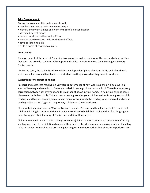#### **Skills Development:**

#### **During the course of this unit, students will:**

- practise their poetry performance technique
- identify and invent similes and work with simple personification
- identify different moods
- develop work on prefixes and suffixes
- develop word selection skills for different effects
- develop listening skills
- write a poem of rhyming couplets.

#### **Assessment:**

The assessment of the students' learning is ongoing through every lesson. Through verbal and written feedback, we provide students with support and advice in order to move their learning on in every English lesson.

During the term, the students will complete an independent piece of writing at the end of each unit, which we will assess and feedback to the students so they know what they need to work on.

#### **Suggestions for support at home:**

Research indicates that reading is a very strong determiner of how well your child will achieve in all areas of learning and we wish to foster a wonderful reading culture in our school. There is also a strong correlation between achievement and the number of books in your home. To help your child at home, please read with them daily. This can mean reading aloud to your child as well as listening to your child reading aloud to you. Reading can also take many forms; it might be reading signs when out and about, reading online material, games, magazines, subtitles on the television etc.

Please note the importance of 'Mother Tongue' – children's home and first language. It is crucial that children with English as an Additional Language continue to build their ability in their first language in order to support their learning of English and additional languages.

Children also need to learn their spellings (or sounds) daily and then continue to revise them after any spelling assessments or dictations to ensure they have embedded an ever increasing number of spelling rules or sounds. Remember, we are aiming for long term memory rather than short term performance.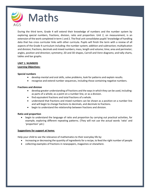

During the third term, Grade 4 will extend their knowledge of numbers and the number system by exploring special numbers, fractions, division, ratio and proportion. Unit 2, on measurement, is an extension of the work completed in term 1 and 2. The final unit consolidates pupils' knowledge of handling data that has cross curricular links with other curricula. Pupils will finish the term with a review of all aspects of the Grade 4 curriculum including: the number system; addition and subtraction; multiplication and division; fractions, decimals and mixed numbers; mass, length and volume; time; area and perimeter; angles, position and direction; symmetry; 2D and 3D shapes, Carroll and Venn diagrams; and tally charts, tables and bar graphs.

# **UNIT 1: NUMBERS**

# **Learning Objectives:**

#### **Special numbers**

- develop mental and oral skills, solve problems, look for patterns and explain results.
- recognise and extend number sequences, including those containing negative numbers.

# **Fractions and division**

- develop greater understanding of fractions and the ways in which they can be used, including: as parts of a whole; as a point on a number line, or as a division.
- find equivalent fractions and total fractions of a whole.
- understand that fractions and mixed numbers can be shown as a position on a number line and will begin to change fractions to decimals, and decimals to fractions.
- begin to understand the relationship between fractions and division.

# **Ratio and proportion**

 begin to understand the language of ratio and proportion by carrying out practical activities, for example, exploring different repeating patterns. (They will not use the actual words 'ratio' and 'proportion' yet.)

# **Suggestions for support at home:**

Help your child to see the relevance of mathematics to their everyday life by:

- increasing or decreasing the quantity of ingredients for a recipe, to feed the right number of people
- collecting examples of fractions in newspapers, magazines or elsewhere.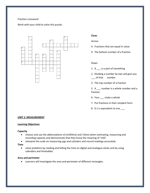#### *Fraction crossword*

Work with your child to solve this puzzle.



#### **Clues**

#### Across

- 4. Fractions that are equal in value
- 9. The bottom number of a fraction

#### Down

- 1. A \_\_\_ is a part of something
- 2. Dividing a number by two will give you \_\_\_ of that number
- 3. The top number of a fraction

5. A \_\_\_ number is a whole number and a fraction

- 6. Four make a whole
- 7. Put fractions in their simplest form
- 8. 0.1 is equivalent to one \_\_\_

#### **UNIT 2: MEASUREMENT**

#### **Learning Objectives**

#### **Capacity**

- choose and use the abbreviations ml (millilitre) and l (litre) when estimating, measuring and recording capacity and demonstrate that they know the meaning of 'milli'.
- interpret the scale on measuring jugs and cylinders and record readings accurately.

#### **Time**

 solve problems by reading and telling the time on digital and analogue clocks and by using calendars and timetables.

#### **Area and perimeter**

Learners will investigate the area and perimeter of different rectangles.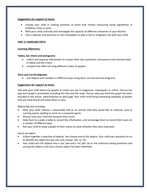#### **Suggestions for support at home:**

- Include your child in cooking activities at home that involve measuring liquid ingredients in millilitres, litres or pints.
- With your child, estimate and investigate the capacity of different containers in your kitchen.
- Use a calendar and local bus or train timetables to plan a real or imaginary trip with your child.

### **UNIT 3: HANDLING DATA**

#### **Learning Objectives:**

#### **Tables, bar charts and pictograms**

- collect and organise information to answer their own questions, and present and interpret data in tables and bar charts.
- compare the effect of using different scales on graphs.

#### **Venn and Carroll diagrams**

sort objects and numbers in different ways using Venn, Carroll and tree diagrams.

#### **Suggestions for support at home:**

Talk with your child about any graphs or charts you see in magazines, newspapers or online. Discuss the way each graph is presented, including the title and the scale. Discuss why you think the graph has been included in the article, advertisement or web page. Your child could bring interesting examples of graphs that you have found and show them in class.

#### *Measuring and recording*

- With your child, choose a measurable skill or an activity that they would like to improve, such as running speed, spelling or score on a computer game.
- Discuss how your child will measure their score.
- Help them to create a table to record the information, and encourage them to record their score on a number of different days.
- Ask your child to make a graph of their scores to show whether they have improved.

#### *Guess my object*

- Collect together a selection of objects. You choose one of the objects. Your child asks questions to try to identify the object but you can only answer 'yes' or 'no'.
- Your child sorts the objects into a 'yes' pile and a 'no' pile. He or she continues asking questions and sorting the objects until your chosen object has been identified.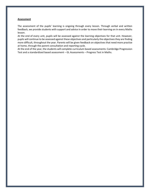#### **Assessment**

The assessment of the pupils' learning is ongoing through every lesson. Through verbal and written feedback, we provide students with support and advice in order to move their learning on in every Maths lesson.

At the end of every unit, pupils will be assessed against the learning objectives for that unit. However, pupils will continue to be assessed against these objectives and particularly the objectives they are finding more difficult, throughout the year. Parents will be given feedback on objectives that need more practise at home, through the parent consultation and reporting cycle.

At the end of the year, the students will complete curriculum based assessments: Cambridge Progression Test and a standardized based assessment – GL Assessments – Progress Test in Maths.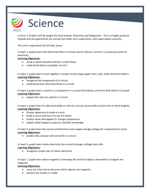

In term 3, Grade 4 will be taught the final module, Electricity and Magnetism. This is a highly practical module and all experiments are carried out under strict supervision, with pupil safety a priority.

This unit is separated into 10 topic areas.

In topic 1, pupils learn that electricity flows in circuits and an electric current is a continuous path of electricity.

# **Learning Objectives:**

- show in which direction electric current flows
- understand what a complete circuit is

In topic 2, pupils learn to put together a simple circuit using copper wire, cells, bulbs and bulb holders. **Learning Objectives:** 

- recognise the components of a circuit
- understand how electricity flows in a circuit

In topic 3, pupils learn a switch is a component in a circuit that allows current to flow when it is closed. **Learning Objectives:** 

explain the role of a switch in a circuit

In topic 4, pupils learn to add more bulbs or cells to a circuit causes bulbs to burn less or more brightly. **Learning Objectives:** 

- choose apparatus to make a circuit
- build a circuit and test it to see if it works
- predict what will happen if I change components
- explain what happens using my scientific knowledge

In topic 5, pupils learn the source of electricity must supply enough voltage for components to work. **Learning Objectives:** 

• predict why a buzzer will not work in a circuit

In topic 6, pupils learn mains electricity has a much stronger voltage than cells.

# **Learning Objectives:**

• recognise unsafe uses of mains electricity

In topic 7, pupils learn about magnets in everyday life and that objects attracted to a magnet are magnetic.

#### **Learning Objectives:**

- carry out a fair test to discover which objects are magnetic
- present my results in a table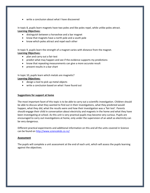write a conclusion about what I have discovered

In topic 8, pupils learn magnets have two poles and like poles repel, while unlike poles attract. **Learning Objectives:** 

- distinguish between a horseshoe and a bar magnet
- know that magnets have a north pole and a south pole
- know which poles attract and repel each other

In topic 9, pupils learn the strength of a magnet varies with distance from the magnet. **Learning Objectives:** 

- plan and carry out a fair test
- predict what may happen and see if the evidence supports my predictions
- know that repeating measurements can give a more accurate result
- present results in a bar chart

In topic 10, pupils learn which metals are magnetic? **Learning Objectives:** 

- design a tool to pick up metal objects
- write a conclusion based on what I have found out

#### **Suggestions for support at home**

The most important facet of this topic is to be able to carry out a scientific investigation. Children should be able to discuss what they wanted to find out in their investigations, what they predicted would happen, what they did, what the results were and how their investigation was a 'fair test'. Parents should engage their child in conversation about electricity and magnets in the home and what they have been investigating at school. As this unit is very practical pupils may become very curious. Pupils are encouraged to carry out investigations at home, only under the supervision of an adult as electricity can be very dangerous.

Different practical experiments and additional information on this and all the units covered in Science can be found on<http://www.sciencekids.co.nz/>

#### **Assessment**

The pupils will complete a unit assessment at the end of each unit, which will assess the pupils learning against the objectives.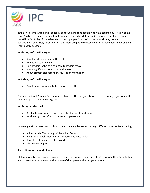

In the third term, Grade 4 will be learning about significant people who have touched our lives in some way. Pupils will research people that have made such a big difference in the world that their influence can still be felt today. From scientists to sports people, from politicians to musicians, from all backgrounds, countries, races and religions there are people whose ideas or achievements have singled them out from others.

#### **In History, we'll be finding out:**

- About world leaders from the past
- How to make a timeline
- How leaders in the past compare to leaders today
- About significant scientists from the past
- About primary and secondary sources of information

#### **In Society, we'll be finding out:**

About people who fought for the rights of others

The International Primary Curriculum has links to other subjects however the learning objectives in this unit focus primarily on History goals.

#### **In History, students will:**

- Be able to give some reasons for particular events and changes
- Be able to gather information from simple sources

Knowledge will be learnt and skills and understanding developed through different case studies including:

- A local study: The Legacy left by Sultan Qaboos
- An international study: Nelson Mandela and Rosa Parks
- Inventions that changed the world
- The Roman Legacy

# **Suggestions for support at home:**

Children by nature are curious creatures. Combine this with their generation's access to the internet, they are more exposed to the world than some of their peers and other generations.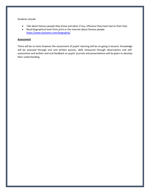Students should:

- Talk about famous people they know and what, if any, influence they have had on their lives
- Read biographical texts from print or the internet about famous people <https://www.ducksters.com/biography/>

#### **Assessment**

There will be no tests however the assessment of pupils' learning will be on-going in lessons. Knowledge will be assessed through oral and written quizzes, skills measured through observations and selfassessment and written and oral feedback on pupils' journals and presentations will be given to develop their understanding.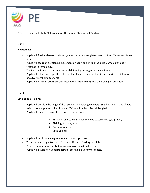

This term pupils will study PE through Net Games and Striking and Fielding.

# **Unit 1**

# **Net Games:**

- Pupils will further develop their net games concepts through Badminton, Short Tennis and Table tennis.
- Pupils will focus on developing movement on court and linking the skills learned previously together to form a rally.
- The Pupils will learn basic attacking and defending strategies and techniques.
- Pupils will select and apply their skills so that they can carry out basic tactics with the intention of outwitting their opponents.
- Pupils will highlight strengths and weakness in order to improve their own performances

# **Unit 2**

# **Striking and Fielding:**

- Pupils will develop the range of their striking and fielding concepts using basic variations of bats to incorporate games such as Rounder/Cricket/ T ball and Danish Longball
- Pupils will recap the basic skills learned in previous years;
- -

- $\triangleright$  Throwing and Catching a ball to move towards a target. (Chain)
- $\triangleright$  Fielding/Stopping a ball
- $\triangleright$  Retrieval of a ball
- $\triangleright$  Striking a ball
- Pupils will work on aiming for space to outwit opponents.
- To implement simple tactics to form a striking and fielding principle.
- An extension task will be students progressing to a drop feed ball.
- Pupils will develop an understanding of scoring in a variety of games.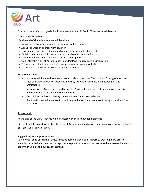

This term the students of grade 4 will commence a new IPC Topic "They made a difference".

# **Aims and Objectives:**

**By the end of the unit, students will be able to:**

- know How artists can influence the way we look at the world
- About the work of an important sculptor
- Choose materials and techniques which are appropriate for their task.
- Explain their own work in terms of what they have done and why.
- Talk about works of art, giving reasons for their opinions.
- to identify the work of Antoni Gaudi to understand & appreciate his inspiration.
- To understand the importance of visual presentation sketchbook skills.
- To understand the link between art and architecture.

#### **Research activity**

- Students will be asked to make a research about the artist "Antoni Gaudi" using school ipads: they will know who Antoni Gaudi is and they will understand the link between art and architecture.
- Introduction to Antoni Gaudi and his work. Pupils will see images of Gaudi's work, and discover where he came from and where he worked.
- the children, will try to identify the techniques Gaudi used in his art.
- Pupils will know what a mosaic is and they will make their own mosaic using a 'sunflower' as inspiration.

# **Assessment:**

At the end of the unit, students will be assessed on their knowledge gathered:

-Students will be asked to identify the work of Antoni Gaudi and make their own mosaic using the lizard of "Parc Guell" as inspiration.

#### **Suggestions for support at home**

To help your child enrich their artistic lives at home, parents can support by creating more artistic activities with their child and encourage them to practice more on the lesson we have covered in class in order to maximize the quality of their skills.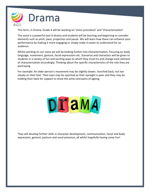

This term, in Drama, Grade 4 will be working on 'Voice procedure' and 'Characterisation'.

The voice is a powerful tool in drama and students will be learning and beginning to consider elements such as pitch, pace, projection and pause. We will learn how these can enhance your performance by making it more engaging or simply make it easier to understand for an audience.

Whilst working on our voice we will be looking further into characterisation. Focusing on body language, movement, gesture, facial expressions etc. Scenarios and characters will be given to students in a variety of fun and exciting ways to which they must try and change each element of characterisation accordingly; Thinking about the specific characteristics of the role they are portraying.

For example: An older person's movement may be slightly slower, hunched back, not too steady on their feet. Their eyes may be squinted as their eyesight is poor and they may be holding their back for support to show the aches and pains of ageing.



They will develop further skills in character development, communication, facial and body expression, gesture, posture and vocal presence, all whilst hopefully having some fun!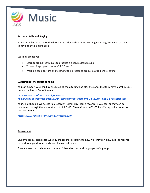

# **Recorder Skills and Singing**

Students will begin to learn the descant recorder and continue learning new songs from Out of the Ark to develop their singing skills

#### **Learning objectives**

- Learn tonguing techniques to produce a clear, pleasant sound
- To learn finger positions for G A B C and D
- Work on good posture and following the director to produce a good choral sound

#### **Suggestions for support at home**

You can support your child by encouraging them to sing and play the songs that they have learnt in class. Here is the link to Out of the Ark:

[https://www.outoftheark.co.uk/ootam-at](https://www.outoftheark.co.uk/ootam-at-home/?utm_source=megamenu&utm_campaign=ootamathome1_d5&utm_medium=advertsquare)[home/?utm\\_source=megamenu&utm\\_campaign=ootamathome1\\_d5&utm\\_medium=advertsquare](https://www.outoftheark.co.uk/ootam-at-home/?utm_source=megamenu&utm_campaign=ootamathome1_d5&utm_medium=advertsquare)

Your child should have access to a recorder. Either buy them a recorder if you can, or they can be purchased through the school at a cost of 1 OMR. These videos on YouTube offer a good introduction to the instrument:

<https://www.youtube.com/watch?v=IucqBt9sZr0>

#### **Assessment**

Students are assessed each week by the teacher according to how well they can blow into the recorder to produce a good sound and cover the correct holes.

They are assessed on how well they can follow direction and sing as part of a group.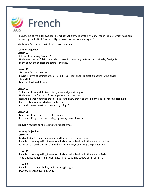

The Scheme of Work followed for French is that provided by the Primary French Project, which has been devised by the Institut Français https://www.institut-francais.org.uk/ .

**Module 3** focuses on the following broad themes:

#### **Learning Objectives:**

#### **Lesson 21:**

- -Ask questions using Où est…?
- Understand form of definite article to use with nouns e.g. le furet, la coccinelle, l'araignée
- Learn about the subject pronouns il and elle.

#### **Lesson 22:**

- Talk about favorite animals
- Revise 4 forms of definite article; le, la, l', les learn about subject pronouns in the plural
- Ils and Elles
- Learn a plural verb form sont

#### **Lesson 23:**

- Talk about likes and dislikes using j'aime and je n'aime pas…
- Understand the function of the negative adverb ne…pas
- learn the plural indefinite article des and know that it cannot be omitted in French. **Lesson 24:**
- Conversations about which animals I like
- Ask and answer questions: how many things?

#### **Lesson 25:**

- Learn how to use the adverbial pronoun en
- Practise talking about Paris, using a growing bank of words.

**Module 4** focuses on the following broad themes:

#### **Learning Objectives:**

**Lesson 26:**

- Find out about London landmarks and learn how to name them
- Be able to use a speaking frame to talk about what landmarks there are in London
- Acute accent on the letter 'é' and the different ways of writing the phoneme [e]

#### **Lesson 27:**

- Be able to use a speaking frame to talk about what landmarks there are in Paris
- Find out about definite articles le, la, l' and les as in le Louvre or la Tour Eiffel

#### **Lesson28:**

- Be able to recall vocabulary by identifying images
- Develop language learning skills